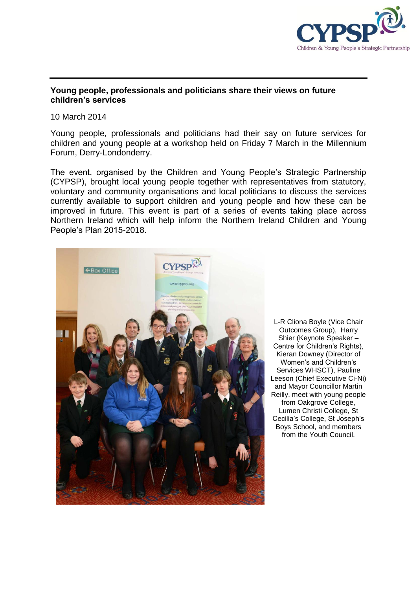

## **Young people, professionals and politicians share their views on future children's services**

10 March 2014

Young people, professionals and politicians had their say on future services for children and young people at a workshop held on Friday 7 March in the Millennium Forum, Derry-Londonderry.

The event, organised by the Children and Young People's Strategic Partnership (CYPSP), brought local young people together with representatives from statutory, voluntary and community organisations and local politicians to discuss the services currently available to support children and young people and how these can be improved in future. This event is part of a series of events taking place across Northern Ireland which will help inform the Northern Ireland Children and Young People's Plan 2015-2018.



L-R Cliona Boyle (Vice Chair Outcomes Group), Harry Shier (Keynote Speaker – Centre for Children's Rights). Kieran Downey (Director of Women's and Children's Services WHSCT), Pauline Leeson (Chief Executive Ci-Ni) and Mayor Councillor Martin Reilly, meet with young people from Oakgrove College, Lumen Christi College, St Cecilia's College, St Joseph's Boys School, and members from the Youth Council.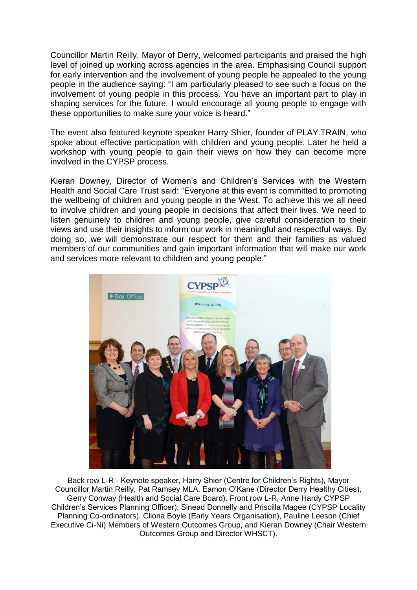Councillor Martin Reilly, Mayor of Derry, welcomed participants and praised the high level of joined up working across agencies in the area. Emphasising Council support for early intervention and the involvement of young people he appealed to the young people in the audience saying: "I am particularly pleased to see such a focus on the involvement of young people in this process. You have an important part to play in shaping services for the future. I would encourage all young people to engage with these opportunities to make sure your voice is heard."

The event also featured keynote speaker Harry Shier, founder of PLAY.TRAIN, who spoke about effective participation with children and young people. Later he held a workshop with young people to gain their views on how they can become more involved in the CYPSP process.

Kieran Downey, Director of Women's and Children's Services with the Western Health and Social Care Trust said: "Everyone at this event is committed to promoting the wellbeing of children and young people in the West. To achieve this we all need to involve children and young people in decisions that affect their lives. We need to listen genuinely to children and young people, give careful consideration to their views and use their insights to inform our work in meaningful and respectful ways. By doing so, we will demonstrate our respect for them and their families as valued members of our communities and gain important information that will make our work and services more relevant to children and young people."



Back row L-R - Keynote speaker, Harry Shier (Centre for Children's Rights), Mayor Councillor Martin Reilly, Pat Ramsey MLA, Eamon O'Kane (Director Derry Healthy Cities), Gerry Conway (Health and Social Care Board). Front row L-R, Anne Hardy CYPSP Children's Services Planning Officer), Sinead Donnelly and Priscilla Magee (CYPSP Locality Planning Co-ordinators), Cliona Boyle (Early Years Organisation), Pauline Leeson (Chief Executive Ci-Ni) Members of Western Outcomes Group, and Kieran Downey (Chair Western Outcomes Group and Director WHSCT).